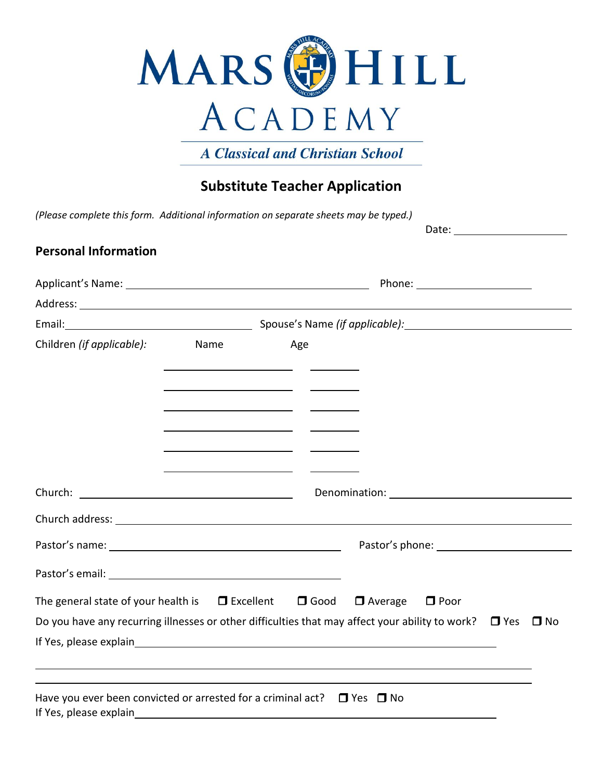

**A Classical and Christian School** 

# **Substitute Teacher Application**

*(Please complete this form. Additional information on separate sheets may be typed.)*

Date:

### **Personal Information**

| Children (if applicable): Name                                                                                                                                                                                                                                                                                      | <u> 1989 - Johann Barn, amerikansk politiker (</u> † 1908) | Age |                                                                                  |  |  |
|---------------------------------------------------------------------------------------------------------------------------------------------------------------------------------------------------------------------------------------------------------------------------------------------------------------------|------------------------------------------------------------|-----|----------------------------------------------------------------------------------|--|--|
|                                                                                                                                                                                                                                                                                                                     | <u> 1989 - Johann Barbara, martxa alemaniar populari (</u> |     |                                                                                  |  |  |
|                                                                                                                                                                                                                                                                                                                     | <u> 1989 - Johann Barnett, fransk politiker (d. 1989)</u>  |     |                                                                                  |  |  |
|                                                                                                                                                                                                                                                                                                                     | <u> 1989 - Johann Barbara, martin amerikan per</u>         |     |                                                                                  |  |  |
| Church address: <u>contract and a series of the series of the series of the series of the series of the series of</u>                                                                                                                                                                                               |                                                            |     |                                                                                  |  |  |
| Pastor's name: Note and the set of the set of the set of the set of the set of the set of the set of the set of the set of the set of the set of the set of the set of the set of the set of the set of the set of the set of                                                                                       |                                                            |     |                                                                                  |  |  |
|                                                                                                                                                                                                                                                                                                                     |                                                            |     |                                                                                  |  |  |
| The general state of your health is $\Box$ Excellent $\Box$ Good $\Box$ Average $\Box$ Poor                                                                                                                                                                                                                         |                                                            |     |                                                                                  |  |  |
| Do you have any recurring illnesses or other difficulties that may affect your ability to work? $\Box$ Yes $\Box$ No                                                                                                                                                                                                |                                                            |     |                                                                                  |  |  |
| If Yes, please explain example and the state of the state of the state of the state of the state of the state of the state of the state of the state of the state of the state of the state of the state of the state of the s                                                                                      |                                                            |     |                                                                                  |  |  |
|                                                                                                                                                                                                                                                                                                                     |                                                            |     | ,我们也不会有什么。""我们的人,我们也不会有什么?""我们的人,我们也不会有什么?""我们的人,我们也不会有什么?""我们的人,我们也不会有什么?""我们的人 |  |  |
| Have you ever been convicted or arrested for a criminal act? $\Box$ Yes $\Box$ No<br>If Yes, please explain example and the state of the state of the state of the state of the state of the state of the state of the state of the state of the state of the state of the state of the state of the state of the s |                                                            |     |                                                                                  |  |  |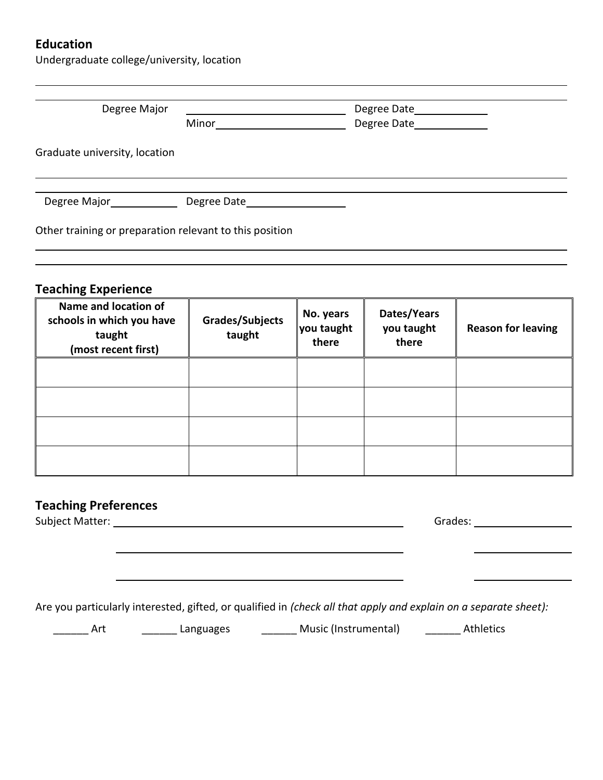## **Education**

Undergraduate college/university, location

| Degree Major                                                                                                     | <u> 1980 - Johann Barbara, martxa a</u>                                                                                                                                                                                                                                                                                                                             |                                  | Degree Date______________          |                           |
|------------------------------------------------------------------------------------------------------------------|---------------------------------------------------------------------------------------------------------------------------------------------------------------------------------------------------------------------------------------------------------------------------------------------------------------------------------------------------------------------|----------------------------------|------------------------------------|---------------------------|
|                                                                                                                  | $\begin{picture}(25,10) \put(0,0){\vector(1,0){100}} \put(15,0){\vector(1,0){100}} \put(15,0){\vector(1,0){100}} \put(15,0){\vector(1,0){100}} \put(15,0){\vector(1,0){100}} \put(15,0){\vector(1,0){100}} \put(15,0){\vector(1,0){100}} \put(15,0){\vector(1,0){100}} \put(15,0){\vector(1,0){100}} \put(15,0){\vector(1,0){100}} \put(15,0){\vector(1,0){100}} \$ |                                  | Degree Date______________          |                           |
| Graduate university, location                                                                                    |                                                                                                                                                                                                                                                                                                                                                                     |                                  |                                    |                           |
|                                                                                                                  |                                                                                                                                                                                                                                                                                                                                                                     |                                  |                                    |                           |
| Other training or preparation relevant to this position                                                          |                                                                                                                                                                                                                                                                                                                                                                     |                                  |                                    |                           |
| <b>Teaching Experience</b>                                                                                       |                                                                                                                                                                                                                                                                                                                                                                     |                                  |                                    |                           |
| Name and location of<br>schools in which you have<br>taught<br>(most recent first)                               | Grades/Subjects<br>taught                                                                                                                                                                                                                                                                                                                                           | No. years<br>you taught<br>there | Dates/Years<br>you taught<br>there | <b>Reason for leaving</b> |
|                                                                                                                  |                                                                                                                                                                                                                                                                                                                                                                     |                                  |                                    |                           |
|                                                                                                                  |                                                                                                                                                                                                                                                                                                                                                                     |                                  |                                    |                           |
|                                                                                                                  |                                                                                                                                                                                                                                                                                                                                                                     |                                  |                                    |                           |
|                                                                                                                  |                                                                                                                                                                                                                                                                                                                                                                     |                                  |                                    |                           |
| <b>Teaching Preferences</b>                                                                                      |                                                                                                                                                                                                                                                                                                                                                                     |                                  |                                    |                           |
|                                                                                                                  |                                                                                                                                                                                                                                                                                                                                                                     |                                  |                                    |                           |
|                                                                                                                  |                                                                                                                                                                                                                                                                                                                                                                     |                                  |                                    |                           |
| Are you particularly interested, gifted, or qualified in (check all that apply and explain on a separate sheet): |                                                                                                                                                                                                                                                                                                                                                                     |                                  |                                    |                           |

\_\_\_\_\_\_\_ Art \_\_\_\_\_\_\_\_\_\_ Languages \_\_\_\_\_\_\_\_\_\_\_ Music (Instrumental) \_\_\_\_\_\_\_\_\_\_ Athletics